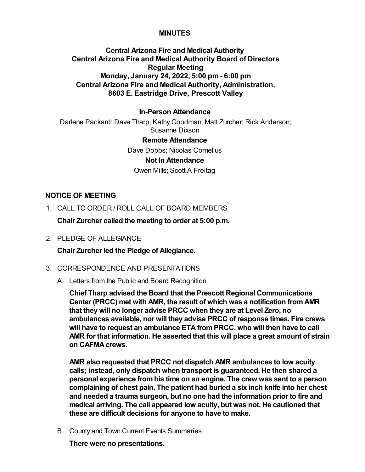## **MINUTES**

# **Central Arizona Fire and Medical Authority Central Arizona Fire and Medical Authority Board of Directors Regular Meeting Monday, January 24, 2022, 5:00 pm - 6:00 pm Central Arizona Fire and Medical Authority, Administration, 8603 E. Eastridge Drive, Prescott Valley**

### **In-Person Attendance**

Darlene Packard; Dave Tharp; Kathy Goodman; Matt Zurcher; Rick Anderson; Susanne Dixson

#### **Remote Attendance**

Dave Dobbs; Nicolas Cornelius **Not In Attendance** Owen Mills; Scott A Freitag

## **NOTICE OF MEETING**

1. CALL TO ORDER / ROLL CALL OF BOARD MEMBERS

**Chair Zurcher called the meeting to order at 5:00 p.m.**

2. PLEDGE OF ALLEGIANCE

**Chair Zurcher led the Pledge of Allegiance.**

### 3. CORRESPONDENCE AND PRESENTATIONS

A. Letters from the Public and Board Recognition

**Chief Tharp advised the Board that the Prescott Regional Communications Center (PRCC) met with AMR, the result of which was a notification from AMR that they will no longer advise PRCC when they are at Level Zero, no ambulances available, nor will they advise PRCC of response times. Fire crews will have to request an ambulance ETA from PRCC, who will then have to call AMR for that information. He asserted that this will place a great amount of strain on CAFMA crews.**

**AMR also requested that PRCC not dispatch AMR ambulances to low acuity calls; instead, only dispatch when transport is guaranteed. He then shared a personal experience from his time on an engine. The crew was sent to a person complaining of chest pain. The patient had buried a six inch knife into her chest and needed a trauma surgeon, but no one had the information prior to fire and medical arriving. The call appeared low acuity, but was not. He cautioned that these are difficult decisions for anyone to have to make.**

B. County and Town Current Events Summaries

**There were no presentations.**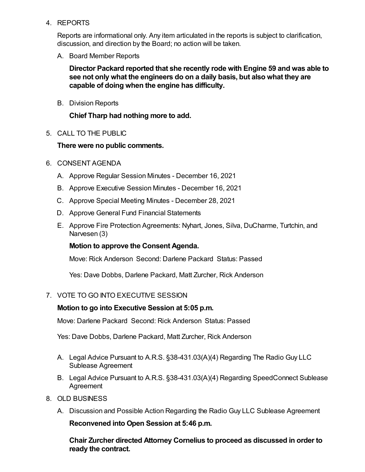4. REPORTS

Reports are informational only. Any item articulated in the reports is subject to clarification, discussion, and direction by the Board; no action will be taken.

A. Board Member Reports

**Director Packard reported that she recently rode with Engine 59 and was able to see not only what the engineers do on a daily basis, but also what they are capable of doing when the engine has difficulty.**

B. Division Reports

**Chief Tharp had nothing more to add.**

5. CALL TO THE PUBLIC

## **There were no public comments.**

- 6. CONSENT AGENDA
	- A. Approve Regular Session Minutes December 16, 2021
	- B. Approve Executive Session Minutes December 16, 2021
	- C. Approve Special Meeting Minutes December 28, 2021
	- D. Approve General Fund Financial Statements
	- E. Approve Fire Protection Agreements: Nyhart, Jones, Silva, DuCharme, Turtchin, and Narvesen (3)

### **Motion to approve the Consent Agenda.**

Move: Rick Anderson Second: Darlene Packard Status: Passed

Yes: Dave Dobbs, Darlene Packard, Matt Zurcher, Rick Anderson

### 7. VOTE TO GO INTO EXECUTIVE SESSION

#### **Motion to go into Executive Session at 5:05 p.m.**

Move: Darlene Packard Second: Rick Anderson Status: Passed

Yes: Dave Dobbs, Darlene Packard, Matt Zurcher, Rick Anderson

- A. Legal Advice Pursuant to A.R.S. §38-431.03(A)(4) Regarding The Radio Guy LLC Sublease Agreement
- B. Legal Advice Pursuant to A.R.S. §38-431.03(A)(4) Regarding SpeedConnect Sublease Agreement
- 8. OLD BUSINESS
	- A. Discussion and Possible Action Regarding the Radio Guy LLC Sublease Agreement

**Reconvened into Open Session at 5:46 p.m.**

**Chair Zurcher directed Attorney Cornelius to proceed as discussed in order to ready the contract.**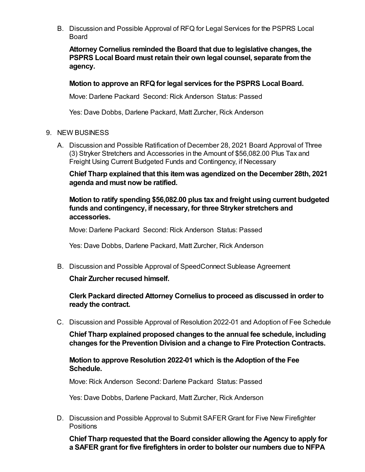B. Discussion and Possible Approval of RFQ for Legal Services for the PSPRS Local Board

**Attorney Cornelius reminded the Board that due to legislative changes, the PSPRS Local Board must retain their own legal counsel, separate from the agency.**

### **Motion to approve an RFQ for legal services for the PSPRS Local Board.**

Move: Darlene Packard Second: Rick Anderson Status: Passed

Yes: Dave Dobbs, Darlene Packard, Matt Zurcher, Rick Anderson

- 9. NEW BUSINESS
	- A. Discussion and Possible Ratification of December 28, 2021 Board Approval of Three (3) Stryker Stretchers and Accessories in the Amount of \$56,082.00 Plus Tax and Freight Using Current Budgeted Funds and Contingency, if Necessary

**Chief Tharp explained that this item was agendized on the December 28th, 2021 agenda and must now be ratified.** 

## **Motion to ratify spending \$56,082.00 plus tax and freight using current budgeted funds and contingency, if necessary, for three Stryker stretchers and accessories.**

Move: Darlene Packard Second: Rick Anderson Status: Passed

Yes: Dave Dobbs, Darlene Packard, Matt Zurcher, Rick Anderson

B. Discussion and Possible Approval of SpeedConnect Sublease Agreement

**Chair Zurcher recused himself.**

**Clerk Packard directed Attorney Cornelius to proceed as discussed in order to ready the contract.**

C. Discussion and Possible Approval of Resolution 2022-01 and Adoption of Fee Schedule

**Chief Tharp explained proposed changes to the annual fee schedule, including changes for the Prevention Division and a change to Fire Protection Contracts.**

### **Motion to approve Resolution 2022-01 which is the Adoption of the Fee Schedule.**

Move: Rick Anderson Second: Darlene Packard Status: Passed

Yes: Dave Dobbs, Darlene Packard, Matt Zurcher, Rick Anderson

D. Discussion and Possible Approval to Submit SAFER Grant for Five New Firefighter **Positions** 

**Chief Tharp requested that the Board consider allowing the Agency to apply for a SAFER grant for five firefighters in order to bolster our numbers due to NFPA**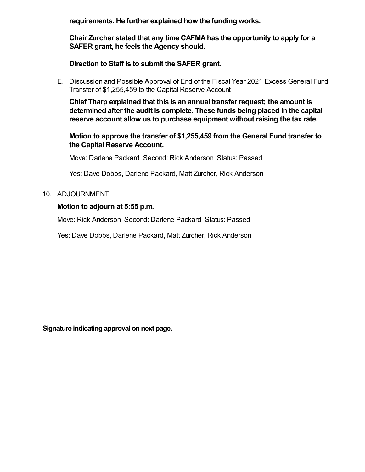**requirements. He further explained how the funding works.** 

**Chair Zurcher stated that any time CAFMA has the opportunity to apply for a SAFER grant, he feels the Agency should.**

**Direction to Staff is to submit the SAFER grant.**

E. Discussion and Possible Approval of End of the Fiscal Year 2021 Excess General Fund Transfer of \$1,255,459 to the Capital Reserve Account

**Chief Tharp explained that this is an annual transfer request; the amount is determined after the audit is complete. These funds being placed in the capital reserve account allow us to purchase equipment without raising the tax rate.** 

**Motion to approve the transfer of \$1,255,459 from the General Fund transfer to the Capital Reserve Account.**

Move: Darlene Packard Second: Rick Anderson Status: Passed

Yes: Dave Dobbs, Darlene Packard, Matt Zurcher, Rick Anderson

### 10. ADJOURNMENT

# **Motion to adjourn at 5:55 p.m.**

Move: Rick Anderson Second: Darlene Packard Status: Passed

Yes: Dave Dobbs, Darlene Packard, Matt Zurcher, Rick Anderson

**Signature indicating approval on next page.**